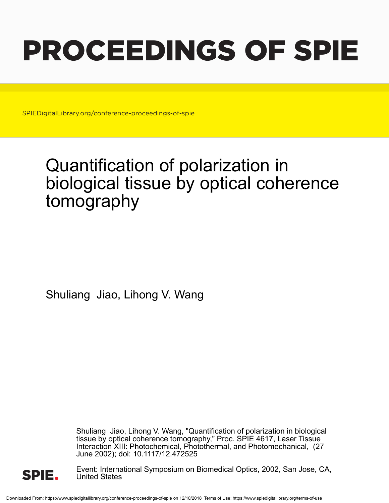# PROCEEDINGS OF SPIE

SPIEDigitalLibrary.org/conference-proceedings-of-spie

## Quantification of polarization in biological tissue by optical coherence tomography

Shuliang Jiao, Lihong V. Wang

Shuliang Jiao, Lihong V. Wang, "Quantification of polarization in biological tissue by optical coherence tomography," Proc. SPIE 4617, Laser Tissue Interaction XIII: Photochemical, Photothermal, and Photomechanical, (27 June 2002); doi: 10.1117/12.472525



Event: International Symposium on Biomedical Optics, 2002, San Jose, CA, United States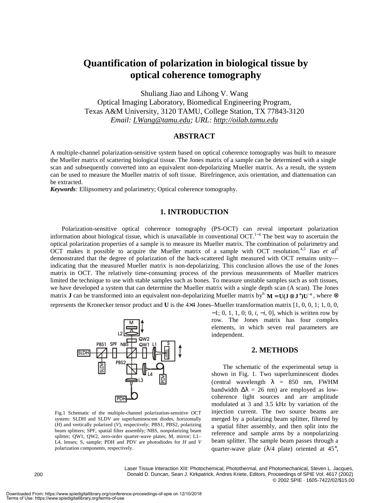### **Quantification of polarization in biological tissue by optical coherence tomography**

Shuliang Jiao and Lihong V. Wang Optical Imaging Laboratory, Biomedical Engineering Program, Texas A&M University, 3120 TAMU, College Station, TX 77843-3120 *Email: LWang@tamu.edu; URL: http://oilab.tamu.edu*

#### **ABSTRACT**

A multiple-channel polarization-sensitive system based on optical coherence tomography was built to measure the Mueller matrix of scattering biological tissue. The Jones matrix of a sample can be determined with a single scan and subsequently converted into an equivalent non-depolarizing Mueller matrix. As a result, the system can be used to measure the Mueller matrix of soft tissue. Birefringence, axis orientation, and diattenuation can be extracted.

*Keywords:* Ellipsometry and polarimetry; Optical coherence tomography.

#### **1. INTRODUCTION**

Polarization-sensitive optical coherence tomography (PS-OCT) can reveal important polarization information about biological tissue, which is unavailable in conventional OCT.<sup>1-3</sup> The best way to ascertain the optical polarization properties of a sample is to measure its Mueller matrix. The combination of polarimetry and OCT makes it possible to acquire the Mueller matrix of a sample with OCT resolution.<sup>4,5</sup> Jiao *et al*<sup>5</sup> demonstrated that the degree of polarization of the back-scattered light measured with OCT remains unity indicating that the measured Mueller matrix is non-depolarizing. This conclusion allows the use of the Jones matrix in OCT. The relatively time-consuming process of the previous measurements of Mueller matrices limited the technique to use with stable samples such as bones. To measure unstable samples such as soft tissues, we have developed a system that can determine the Mueller matrix with a single depth scan (A scan). The Jones matrix **J** can be transformed into an equivalent non-depolarizing Mueller matrix by<sup>6</sup>  $\mathbf{M} = \mathbf{U}(\mathbf{J} \otimes \mathbf{J}^*)\mathbf{U}^{-1}$ , where  $\otimes$ represents the Kronecker tensor product and **U** is the 4×4 Jones–Mueller transformation matrix [1, 0, 0, 1; 1, 0, 0,



Fig.1 Schematic of the multiple-channel polarization-sensitive OCT system: SLDH and SLDV are superluminescent diodes, horizontally (*H*) and vertically polarized (*V*), respectively; PBS1, PBS2, polarizing beam splitters; SPF, spatial filter assembly; NBS, nonpolarizing beam splitter; QW1, QW2, zero-order quarter-wave plates; M, mirror; L1– L4, lenses; S, sample; PDH and PDV are photodiodes for *H* and *V* polarization components, respectively.

−1; 0, 1, 1, 0; 0, *i*, −*i*, 0], which is written row by row. The Jones matrix has four complex elements, in which seven real parameters are independent.

#### **2. METHODS**

The schematic of the experimental setup is shown in Fig. 1. Two superluminescent diodes (central wavelength  $\lambda = 850$  nm, FWHM bandwidth  $\Delta \lambda = 26$  nm) are employed as lowcoherence light sources and are amplitude modulated at 3 and 3.5 kHz by variation of the injection current. The two source beams are merged by a polarizing beam splitter, filtered by a spatial filter assembly, and then split into the reference and sample arms by a nonpolarizing beam splitter. The sample beam passes through a quarter-wave plate ( $\lambda$ /4 plate) oriented at 45°,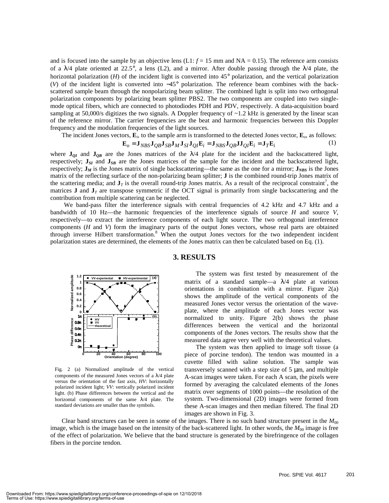and is focused into the sample by an objective lens  $(L1: f = 15 \text{ mm}$  and  $NA = 0.15)$ . The reference arm consists of a  $\lambda$ /4 plate oriented at 22.5°, a lens (L2), and a mirror. After double passing through the  $\lambda$ /4 plate, the horizontal polarization (*H*) of the incident light is converted into 45° polarization, and the vertical polarization (*V*) of the incident light is converted into −45° polarization. The reference beam combines with the backscattered sample beam through the nonpolarizing beam splitter. The combined light is split into two orthogonal polarization components by polarizing beam splitter PBS2. The two components are coupled into two singlemode optical fibers, which are connected to photodiodes PDH and PDV, respectively. A data-acquisition board sampling at 50,000/s digitizes the two signals. A Doppler frequency of  $\sim$ 1.2 kHz is generated by the linear scan of the reference mirror. The carrier frequencies are the beat and harmonic frequencies between this Doppler frequency and the modulation frequencies of the light sources.

The incident Jones vectors,  $\mathbf{E}_i$ , to the sample arm is transformed to the detected Jones vector,  $\mathbf{E}_o$ , as follows:

$$
\mathbf{E}_o = \mathbf{J}_{NBS} \mathbf{J}_{QB} \mathbf{J}_{SB} \mathbf{J}_M \mathbf{J}_{SI} \mathbf{J}_{QI} \mathbf{E}_i = \mathbf{J}_{NBS} \mathbf{J}_{QB} \mathbf{J}_{QI} \mathbf{E}_i = \mathbf{J}_T \mathbf{E}_i
$$
 (1)

where  $J_{QI}$  and  $J_{QB}$  are the Jones matrices of the  $\lambda/4$  plate for the incident and the backscattered light, respectively;  $J_{SI}$  and  $J_{SB}$  are the Jones matrices of the sample for the incident and the backscattered light, respectively;  $J_M$  is the Jones matrix of single backscattering—the same as the one for a mirror;  $J_{NBS}$  is the Jones matrix of the reflecting surface of the non-polarizing beam splitter; **J** is the combined round-trip Jones matrix of the scattering media; and  $J<sub>T</sub>$  is the overall round-trip Jones matrix. As a result of the reciprocal constraint<sup>7</sup>, the matrices **J** and  $J<sub>T</sub>$  are transpose symmetric if the OCT signal is primarily from single backscattering and the contribution from multiple scattering can be neglected.

We band-pass filter the interference signals with central frequencies of 4.2 kHz and 4.7 kHz and a bandwidth of 10 Hz—the harmonic frequencies of the interference signals of source *H* and source *V*, respectively—to extract the interference components of each light source. The two orthogonal interference components (*H* and *V*) form the imaginary parts of the output Jones vectors, whose real parts are obtained through inverse Hilbert transformation.<sup>8</sup> When the output Jones vectors for the two independent incident polarization states are determined, the elements of the Jones matrix can then be calculated based on Eq. (1).



Fig. 2 (a) Normalized amplitude of the vertical components of the measured Jones vectors of a  $\lambda$ /4 plate versus the orientation of the fast axis, *HV*: horizontally polarized incident light; *VV*: vertically polarized incident light. (b) Phase differences between the vertical and the horizontal components of the same  $\lambda/4$  plate. The standard deviations are smaller than the symbols.

#### **3. RESULTS**

The system was first tested by measurement of the matrix of a standard sample—a  $\lambda$ /4 plate at various orientations in combination with a mirror. Figure 2(a) shows the amplitude of the vertical components of the measured Jones vector versus the orientation of the waveplate, where the amplitude of each Jones vector was normalized to unity. Figure 2(b) shows the phase differences between the vertical and the horizontal components of the Jones vectors. The results show that the measured data agree very well with the theoretical values.

The system was then applied to image soft tissue (a piece of porcine tendon). The tendon was mounted in a cuvette filled with saline solution. The sample was transversely scanned with a step size of 5 µm, and multiple A-scan images were taken. For each A scan, the pixels were formed by averaging the calculated elements of the Jones matrix over segments of 1000 points—the resolution of the system. Two-dimensional (2D) images were formed from these A-scan images and then median filtered. The final 2D images are shown in Fig. 3.

Clear band structures can be seen in some of the images. There is no such band structure present in the  $M_{00}$ image, which is the image based on the intensity of the back-scattered light. In other words, the  $M_{00}$  image is free of the effect of polarization. We believe that the band structure is generated by the birefringence of the collagen fibers in the porcine tendon.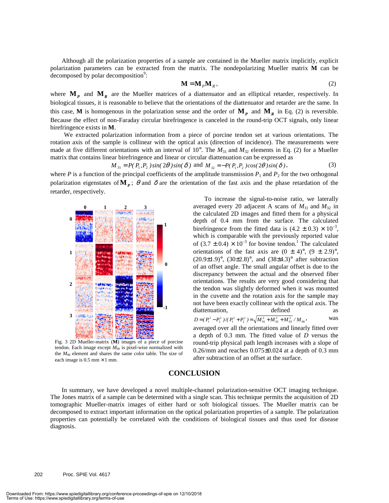Although all the polarization properties of a sample are contained in the Mueller matrix implicitly, explicit polarization parameters can be extracted from the matrix. The nondepolarizing Mueller matrix **M** can be  $decomposed$  by polar decomposition<sup>9</sup>:

$$
\mathbf{M} = \mathbf{M}_p \mathbf{M}_R, \tag{2}
$$

where  $\mathbf{M}_p$  and  $\mathbf{M}_R$  are the Mueller matrices of a diattenuator and an elliptical retarder, respectively. In biological tissues, it is reasonable to believe that the orientations of the diattenuator and retarder are the same. In this case, **M** is homogenous in the polarization sense and the order of  $M_p$  and  $M_R$  in Eq. (2) is reversible. Because the effect of non-Faraday circular birefringence is canceled in the round-trip OCT signals, only linear birefringence exists in **M**.

We extracted polarization information from a piece of porcine tendon set at various orientations. The rotation axis of the sample is collinear with the optical axis (direction of incidence). The measurements were made at five different orientations with an interval of 10°. The  $M_{31}$  and  $M_{32}$  elements in Eq. (2) for a Mueller matrix that contains linear birefringence and linear or circular diattenuation can be expressed as

$$
M_{31} = P(P_1, P_2) \sin(2\theta) \sin(\delta) \text{ and } M_{32} = -P(P_1, P_2) \cos(2\theta) \sin(\delta), \tag{3}
$$

where *P* is a function of the principal coefficients of the amplitude transmission  $P_1$  and  $P_2$  for the two orthogonal polarization eigenstates of  $\mathbf{M}_p$ ;  $\theta$  and  $\delta$  are the orientation of the fast axis and the phase retardation of the retarder, respectively.



Fig. 3 2D Mueller-matrix (**M**) images of a piece of porcine tendon. Each image except  $M_{00}$  is pixel-wise normalized with the *M*00 element and shares the same color table. The size of each image is  $0.5$  mm  $\times$  1 mm.

 To increase the signal-to-noise ratio, we laterally averaged every 20 adjacent A scans of  $M_{31}$  and  $M_{32}$  in the calculated 2D images and fitted them for a physical depth of 0.4 mm from the surface. The calculated birefringence from the fitted data is  $(4.2 \pm 0.3) \times 10^{-3}$ , which is comparable with the previously reported value of  $(3.7 \pm 0.4) \times 10^{-3}$  for bovine tendon.<sup>1</sup> The calculated orientations of the fast axis are  $(0 \pm 4)^\circ$ ,  $(9 \pm 2.9)^\circ$ ,  $(20.9\pm1.9)$ °,  $(30\pm2.8)$ °, and  $(38\pm4.3)$ ° after subtraction of an offset angle. The small angular offset is due to the discrepancy between the actual and the observed fiber orientations. The results are very good considering that the tendon was slightly deformed when it was mounted in the cuvette and the rotation axis for the sample may not have been exactly collinear with the optical axis. The diattenuation, defined as  $D = (P_1^2 - P_2^2) / (P_1^2 + P_2^2) = \sqrt{M_{01}^2 + M_{02}^2 + M_{03}^2} / M_{00}$ , was

averaged over all the orientations and linearly fitted over a depth of 0.3 mm. The fitted value of *D* versus the round-trip physical path length increases with a slope of  $0.26$ /mm and reaches  $0.075\pm0.024$  at a depth of 0.3 mm after subtraction of an offset at the surface.

#### **CONCLUSION**

In summary, we have developed a novel multiple-channel polarization-sensitive OCT imaging technique. The Jones matrix of a sample can be determined with a single scan. This technique permits the acquisition of 2D tomographic Mueller-matrix images of either hard or soft biological tissues. The Mueller matrix can be decomposed to extract important information on the optical polarization properties of a sample. The polarization properties can potentially be correlated with the conditions of biological tissues and thus used for disease diagnosis.